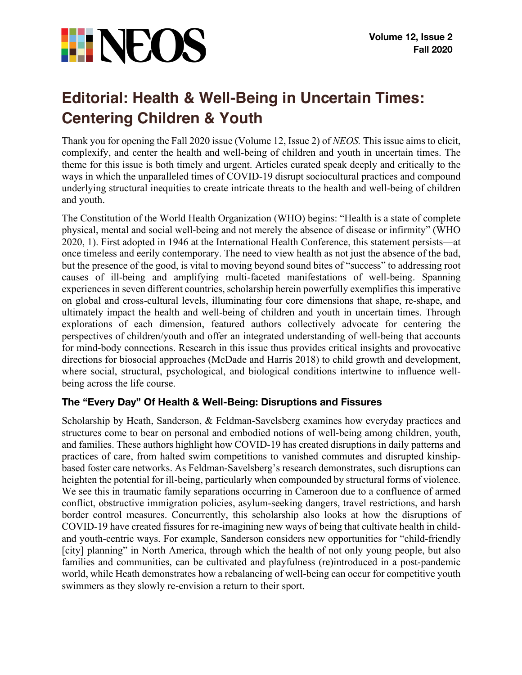

# **Editorial: Health & Well-Being in Uncertain Times: Centering Children & Youth**

Thank you for opening the Fall 2020 issue (Volume 12, Issue 2) of *NEOS.* This issue aims to elicit, complexify, and center the health and well-being of children and youth in uncertain times. The theme for this issue is both timely and urgent. Articles curated speak deeply and critically to the ways in which the unparalleled times of COVID-19 disrupt sociocultural practices and compound underlying structural inequities to create intricate threats to the health and well-being of children and youth.

The Constitution of the World Health Organization (WHO) begins: "Health is a state of complete physical, mental and social well-being and not merely the absence of disease or infirmity" (WHO 2020, 1). First adopted in 1946 at the International Health Conference, this statement persists—at once timeless and eerily contemporary. The need to view health as not just the absence of the bad, but the presence of the good, is vital to moving beyond sound bites of "success" to addressing root causes of ill-being and amplifying multi-faceted manifestations of well-being. Spanning experiences in seven different countries, scholarship herein powerfully exemplifies this imperative on global and cross-cultural levels, illuminating four core dimensions that shape, re-shape, and ultimately impact the health and well-being of children and youth in uncertain times. Through explorations of each dimension, featured authors collectively advocate for centering the perspectives of children/youth and offer an integrated understanding of well-being that accounts for mind-body connections. Research in this issue thus provides critical insights and provocative directions for biosocial approaches (McDade and Harris 2018) to child growth and development, where social, structural, psychological, and biological conditions intertwine to influence wellbeing across the life course.

## **The "Every Day" Of Health & Well-Being: Disruptions and Fissures**

Scholarship by Heath, Sanderson, & Feldman-Savelsberg examines how everyday practices and structures come to bear on personal and embodied notions of well-being among children, youth, and families. These authors highlight how COVID-19 has created disruptions in daily patterns and practices of care, from halted swim competitions to vanished commutes and disrupted kinshipbased foster care networks. As Feldman-Savelsberg's research demonstrates, such disruptions can heighten the potential for ill-being, particularly when compounded by structural forms of violence. We see this in traumatic family separations occurring in Cameroon due to a confluence of armed conflict, obstructive immigration policies, asylum-seeking dangers, travel restrictions, and harsh border control measures. Concurrently, this scholarship also looks at how the disruptions of COVID-19 have created fissures for re-imagining new ways of being that cultivate health in childand youth-centric ways. For example, Sanderson considers new opportunities for "child-friendly [city] planning" in North America, through which the health of not only young people, but also families and communities, can be cultivated and playfulness (re)introduced in a post-pandemic world, while Heath demonstrates how a rebalancing of well-being can occur for competitive youth swimmers as they slowly re-envision a return to their sport.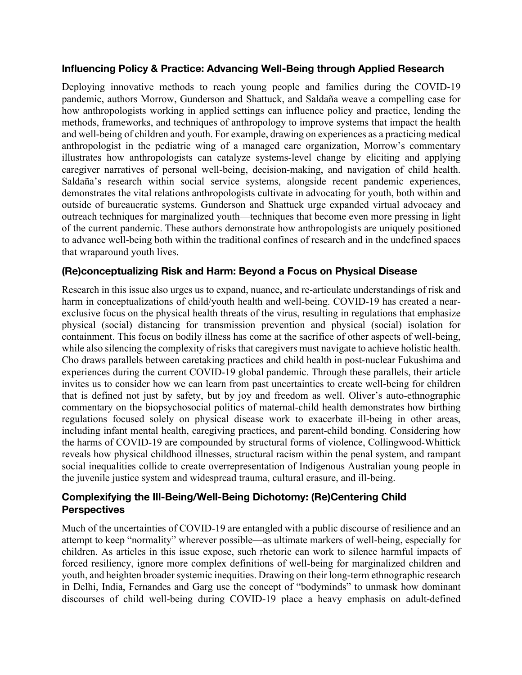#### **Influencing Policy & Practice: Advancing Well-Being through Applied Research**

Deploying innovative methods to reach young people and families during the COVID-19 pandemic, authors Morrow, Gunderson and Shattuck, and Saldaña weave a compelling case for how anthropologists working in applied settings can influence policy and practice, lending the methods, frameworks, and techniques of anthropology to improve systems that impact the health and well-being of children and youth. For example, drawing on experiences as a practicing medical anthropologist in the pediatric wing of a managed care organization, Morrow's commentary illustrates how anthropologists can catalyze systems-level change by eliciting and applying caregiver narratives of personal well-being, decision-making, and navigation of child health. Saldaña's research within social service systems, alongside recent pandemic experiences, demonstrates the vital relations anthropologists cultivate in advocating for youth, both within and outside of bureaucratic systems. Gunderson and Shattuck urge expanded virtual advocacy and outreach techniques for marginalized youth—techniques that become even more pressing in light of the current pandemic. These authors demonstrate how anthropologists are uniquely positioned to advance well-being both within the traditional confines of research and in the undefined spaces that wraparound youth lives.

#### **(Re)conceptualizing Risk and Harm: Beyond a Focus on Physical Disease**

Research in this issue also urges us to expand, nuance, and re-articulate understandings of risk and harm in conceptualizations of child/youth health and well-being. COVID-19 has created a nearexclusive focus on the physical health threats of the virus, resulting in regulations that emphasize physical (social) distancing for transmission prevention and physical (social) isolation for containment. This focus on bodily illness has come at the sacrifice of other aspects of well-being, while also silencing the complexity of risks that caregivers must navigate to achieve holistic health. Cho draws parallels between caretaking practices and child health in post-nuclear Fukushima and experiences during the current COVID-19 global pandemic. Through these parallels, their article invites us to consider how we can learn from past uncertainties to create well-being for children that is defined not just by safety, but by joy and freedom as well. Oliver's auto-ethnographic commentary on the biopsychosocial politics of maternal-child health demonstrates how birthing regulations focused solely on physical disease work to exacerbate ill-being in other areas, including infant mental health, caregiving practices, and parent-child bonding. Considering how the harms of COVID-19 are compounded by structural forms of violence, Collingwood-Whittick reveals how physical childhood illnesses, structural racism within the penal system, and rampant social inequalities collide to create overrepresentation of Indigenous Australian young people in the juvenile justice system and widespread trauma, cultural erasure, and ill-being.

### **Complexifying the Ill-Being/Well-Being Dichotomy: (Re)Centering Child Perspectives**

Much of the uncertainties of COVID-19 are entangled with a public discourse of resilience and an attempt to keep "normality" wherever possible—as ultimate markers of well-being, especially for children. As articles in this issue expose, such rhetoric can work to silence harmful impacts of forced resiliency, ignore more complex definitions of well-being for marginalized children and youth, and heighten broader systemic inequities. Drawing on their long-term ethnographic research in Delhi, India, Fernandes and Garg use the concept of "bodyminds" to unmask how dominant discourses of child well-being during COVID-19 place a heavy emphasis on adult-defined